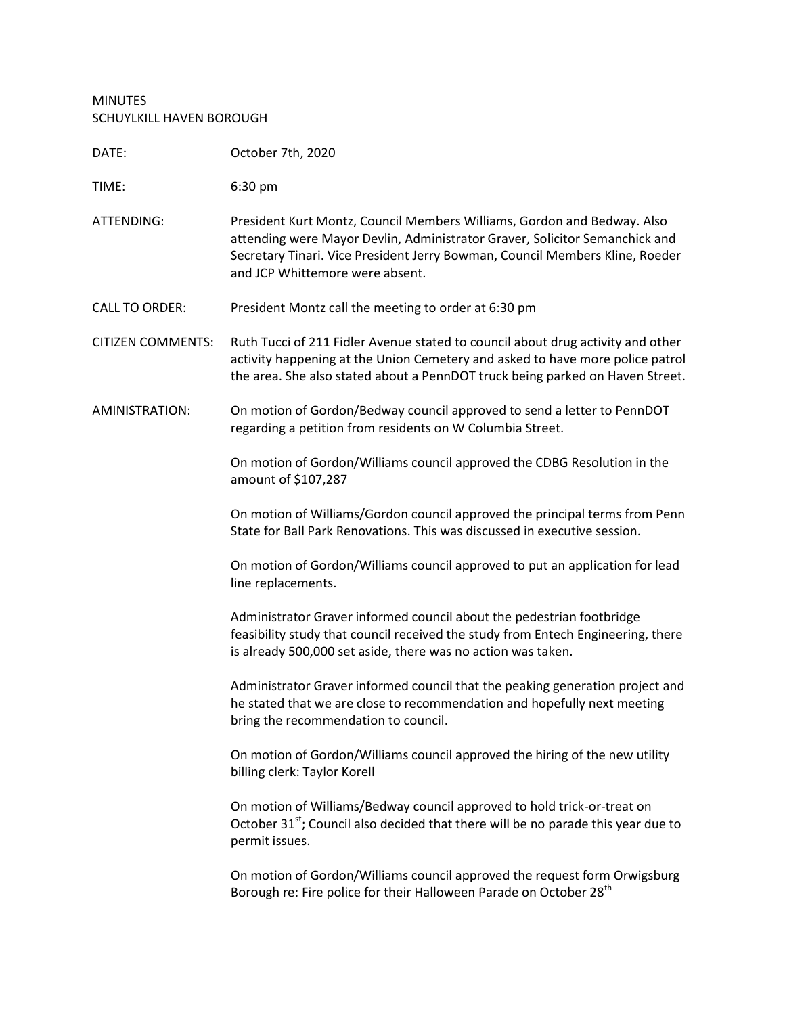## MINUTES SCHUYLKILL HAVEN BOROUGH

| DATE:                    | October 7th, 2020                                                                                                                                                                                                                                                         |
|--------------------------|---------------------------------------------------------------------------------------------------------------------------------------------------------------------------------------------------------------------------------------------------------------------------|
| TIME:                    | 6:30 pm                                                                                                                                                                                                                                                                   |
| ATTENDING:               | President Kurt Montz, Council Members Williams, Gordon and Bedway. Also<br>attending were Mayor Devlin, Administrator Graver, Solicitor Semanchick and<br>Secretary Tinari. Vice President Jerry Bowman, Council Members Kline, Roeder<br>and JCP Whittemore were absent. |
| <b>CALL TO ORDER:</b>    | President Montz call the meeting to order at 6:30 pm                                                                                                                                                                                                                      |
| <b>CITIZEN COMMENTS:</b> | Ruth Tucci of 211 Fidler Avenue stated to council about drug activity and other<br>activity happening at the Union Cemetery and asked to have more police patrol<br>the area. She also stated about a PennDOT truck being parked on Haven Street.                         |
| AMINISTRATION:           | On motion of Gordon/Bedway council approved to send a letter to PennDOT<br>regarding a petition from residents on W Columbia Street.                                                                                                                                      |
|                          | On motion of Gordon/Williams council approved the CDBG Resolution in the<br>amount of \$107,287                                                                                                                                                                           |
|                          | On motion of Williams/Gordon council approved the principal terms from Penn<br>State for Ball Park Renovations. This was discussed in executive session.                                                                                                                  |
|                          | On motion of Gordon/Williams council approved to put an application for lead<br>line replacements.                                                                                                                                                                        |
|                          | Administrator Graver informed council about the pedestrian footbridge<br>feasibility study that council received the study from Entech Engineering, there<br>is already 500,000 set aside, there was no action was taken.                                                 |
|                          | Administrator Graver informed council that the peaking generation project and<br>he stated that we are close to recommendation and hopefully next meeting<br>bring the recommendation to council.                                                                         |
|                          | On motion of Gordon/Williams council approved the hiring of the new utility<br>billing clerk: Taylor Korell                                                                                                                                                               |
|                          | On motion of Williams/Bedway council approved to hold trick-or-treat on<br>October 31 <sup>st</sup> ; Council also decided that there will be no parade this year due to<br>permit issues.                                                                                |
|                          | On motion of Gordon/Williams council approved the request form Orwigsburg<br>Borough re: Fire police for their Halloween Parade on October 28 <sup>th</sup>                                                                                                               |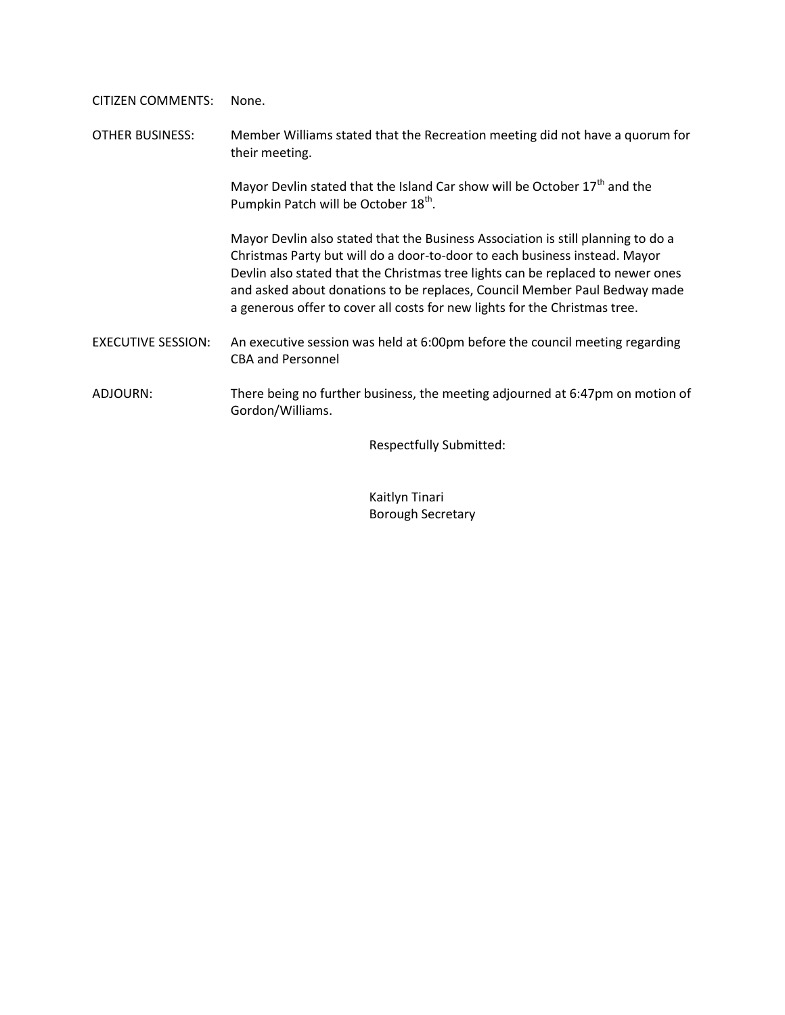CITIZEN COMMENTS: None.

OTHER BUSINESS: Member Williams stated that the Recreation meeting did not have a quorum for their meeting.

> Mayor Devlin stated that the Island Car show will be October  $17<sup>th</sup>$  and the Pumpkin Patch will be October 18<sup>th</sup>.

Mayor Devlin also stated that the Business Association is still planning to do a Christmas Party but will do a door-to-door to each business instead. Mayor Devlin also stated that the Christmas tree lights can be replaced to newer ones and asked about donations to be replaces, Council Member Paul Bedway made a generous offer to cover all costs for new lights for the Christmas tree.

EXECUTIVE SESSION: An executive session was held at 6:00pm before the council meeting regarding CBA and Personnel

ADJOURN: There being no further business, the meeting adjourned at 6:47pm on motion of Gordon/Williams.

Respectfully Submitted:

Kaitlyn Tinari Borough Secretary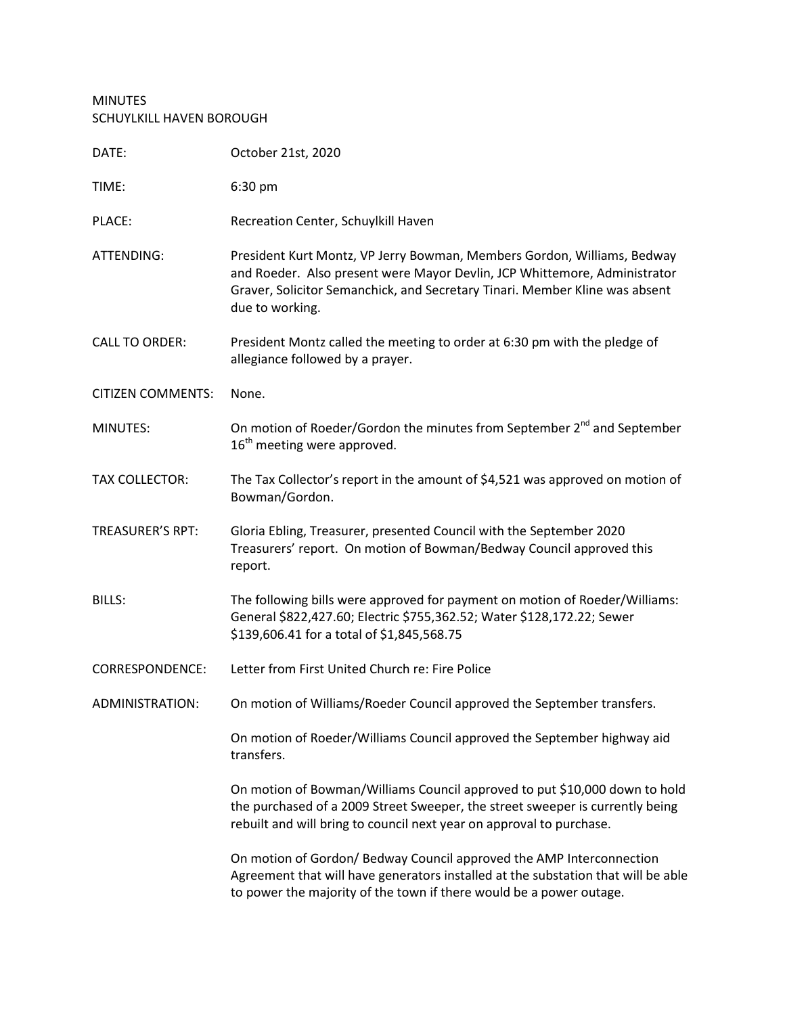## MINUTES SCHUYLKILL HAVEN BOROUGH

| DATE:                    | October 21st, 2020                                                                                                                                                                                                                                     |
|--------------------------|--------------------------------------------------------------------------------------------------------------------------------------------------------------------------------------------------------------------------------------------------------|
| TIME:                    | 6:30 pm                                                                                                                                                                                                                                                |
| PLACE:                   | Recreation Center, Schuylkill Haven                                                                                                                                                                                                                    |
| ATTENDING:               | President Kurt Montz, VP Jerry Bowman, Members Gordon, Williams, Bedway<br>and Roeder. Also present were Mayor Devlin, JCP Whittemore, Administrator<br>Graver, Solicitor Semanchick, and Secretary Tinari. Member Kline was absent<br>due to working. |
| <b>CALL TO ORDER:</b>    | President Montz called the meeting to order at 6:30 pm with the pledge of<br>allegiance followed by a prayer.                                                                                                                                          |
| <b>CITIZEN COMMENTS:</b> | None.                                                                                                                                                                                                                                                  |
| MINUTES:                 | On motion of Roeder/Gordon the minutes from September 2 <sup>nd</sup> and September<br>16 <sup>th</sup> meeting were approved.                                                                                                                         |
| <b>TAX COLLECTOR:</b>    | The Tax Collector's report in the amount of \$4,521 was approved on motion of<br>Bowman/Gordon.                                                                                                                                                        |
| <b>TREASURER'S RPT:</b>  | Gloria Ebling, Treasurer, presented Council with the September 2020<br>Treasurers' report. On motion of Bowman/Bedway Council approved this<br>report.                                                                                                 |
| <b>BILLS:</b>            | The following bills were approved for payment on motion of Roeder/Williams:<br>General \$822,427.60; Electric \$755,362.52; Water \$128,172.22; Sewer<br>\$139,606.41 for a total of \$1,845,568.75                                                    |
| <b>CORRESPONDENCE:</b>   | Letter from First United Church re: Fire Police                                                                                                                                                                                                        |
| ADMINISTRATION:          | On motion of Williams/Roeder Council approved the September transfers.                                                                                                                                                                                 |
|                          | On motion of Roeder/Williams Council approved the September highway aid<br>transfers.                                                                                                                                                                  |
|                          | On motion of Bowman/Williams Council approved to put \$10,000 down to hold<br>the purchased of a 2009 Street Sweeper, the street sweeper is currently being<br>rebuilt and will bring to council next year on approval to purchase.                    |
|                          | On motion of Gordon/ Bedway Council approved the AMP Interconnection<br>Agreement that will have generators installed at the substation that will be able<br>to power the majority of the town if there would be a power outage.                       |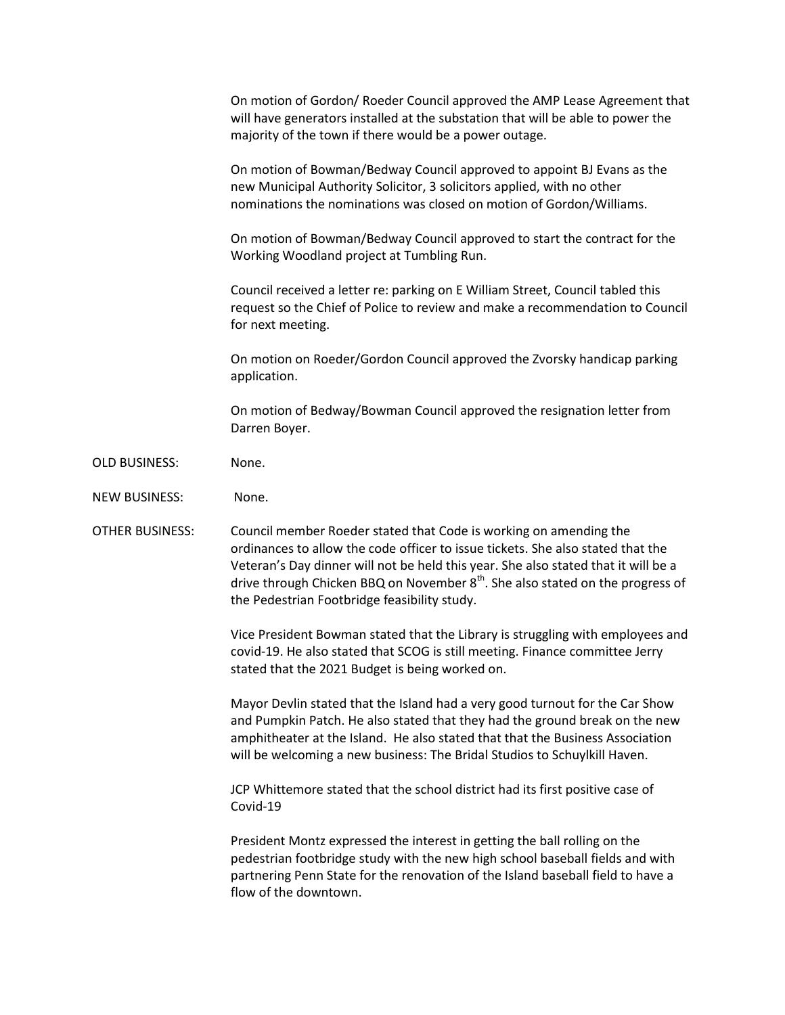On motion of Gordon/ Roeder Council approved the AMP Lease Agreement that will have generators installed at the substation that will be able to power the majority of the town if there would be a power outage.

On motion of Bowman/Bedway Council approved to appoint BJ Evans as the new Municipal Authority Solicitor, 3 solicitors applied, with no other nominations the nominations was closed on motion of Gordon/Williams.

On motion of Bowman/Bedway Council approved to start the contract for the Working Woodland project at Tumbling Run.

Council received a letter re: parking on E William Street, Council tabled this request so the Chief of Police to review and make a recommendation to Council for next meeting.

On motion on Roeder/Gordon Council approved the Zvorsky handicap parking application.

On motion of Bedway/Bowman Council approved the resignation letter from Darren Boyer.

- OLD BUSINESS: None.
- NEW BUSINESS: None.
- OTHER BUSINESS: Council member Roeder stated that Code is working on amending the ordinances to allow the code officer to issue tickets. She also stated that the Veteran's Day dinner will not be held this year. She also stated that it will be a drive through Chicken BBQ on November  $8<sup>th</sup>$ . She also stated on the progress of the Pedestrian Footbridge feasibility study.

Vice President Bowman stated that the Library is struggling with employees and covid-19. He also stated that SCOG is still meeting. Finance committee Jerry stated that the 2021 Budget is being worked on.

Mayor Devlin stated that the Island had a very good turnout for the Car Show and Pumpkin Patch. He also stated that they had the ground break on the new amphitheater at the Island. He also stated that that the Business Association will be welcoming a new business: The Bridal Studios to Schuylkill Haven.

JCP Whittemore stated that the school district had its first positive case of Covid-19

President Montz expressed the interest in getting the ball rolling on the pedestrian footbridge study with the new high school baseball fields and with partnering Penn State for the renovation of the Island baseball field to have a flow of the downtown.